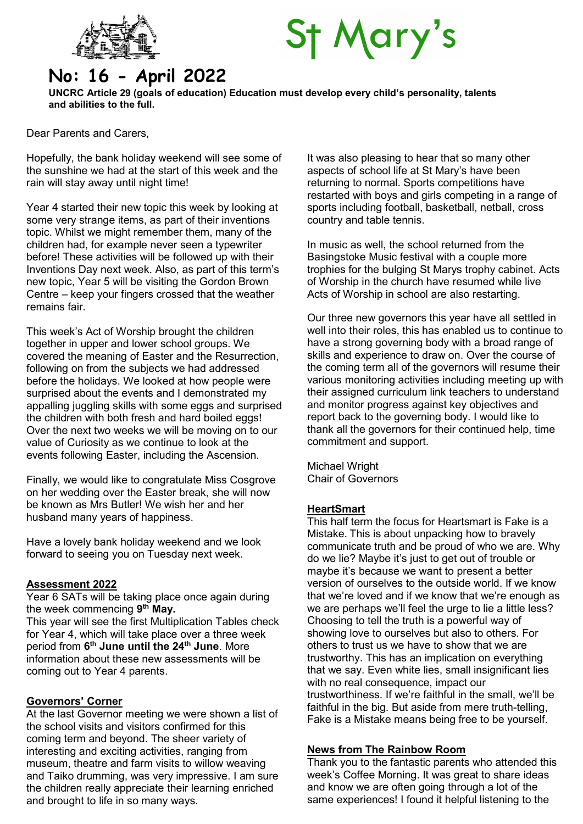

# **St Mary's**

# No: 16 - April 2022

UNCRC Article 29 (goals of education) Education must develop every child's personality, talents and abilities to the full.

Dear Parents and Carers,

Hopefully, the bank holiday weekend will see some of the sunshine we had at the start of this week and the rain will stay away until night time!

Year 4 started their new topic this week by looking at some very strange items, as part of their inventions topic. Whilst we might remember them, many of the children had, for example never seen a typewriter before! These activities will be followed up with their Inventions Day next week. Also, as part of this term's new topic, Year 5 will be visiting the Gordon Brown Centre – keep your fingers crossed that the weather remains fair.

This week's Act of Worship brought the children together in upper and lower school groups. We covered the meaning of Easter and the Resurrection, following on from the subjects we had addressed before the holidays. We looked at how people were surprised about the events and I demonstrated my appalling juggling skills with some eggs and surprised the children with both fresh and hard boiled eggs! Over the next two weeks we will be moving on to our value of Curiosity as we continue to look at the events following Easter, including the Ascension.

Finally, we would like to congratulate Miss Cosgrove on her wedding over the Easter break, she will now be known as Mrs Butler! We wish her and her husband many years of happiness.

Have a lovely bank holiday weekend and we look forward to seeing you on Tuesday next week.

#### Assessment 2022

Year 6 SATs will be taking place once again during the week commencing 9<sup>th</sup> May.

This year will see the first Multiplication Tables check for Year 4, which will take place over a three week period from 6<sup>th</sup> June until the 24<sup>th</sup> June. More information about these new assessments will be coming out to Year 4 parents.

#### Governors' Corner

At the last Governor meeting we were shown a list of the school visits and visitors confirmed for this coming term and beyond. The sheer variety of interesting and exciting activities, ranging from museum, theatre and farm visits to willow weaving and Taiko drumming, was very impressive. I am sure the children really appreciate their learning enriched and brought to life in so many ways.

It was also pleasing to hear that so many other aspects of school life at St Mary's have been returning to normal. Sports competitions have restarted with boys and girls competing in a range of sports including football, basketball, netball, cross country and table tennis.

In music as well, the school returned from the Basingstoke Music festival with a couple more trophies for the bulging St Marys trophy cabinet. Acts of Worship in the church have resumed while live Acts of Worship in school are also restarting.

Our three new governors this year have all settled in well into their roles, this has enabled us to continue to have a strong governing body with a broad range of skills and experience to draw on. Over the course of the coming term all of the governors will resume their various monitoring activities including meeting up with their assigned curriculum link teachers to understand and monitor progress against key objectives and report back to the governing body. I would like to thank all the governors for their continued help, time commitment and support.

Michael Wright Chair of Governors

#### **HeartSmart**

This half term the focus for Heartsmart is Fake is a Mistake. This is about unpacking how to bravely communicate truth and be proud of who we are. Why do we lie? Maybe it's just to get out of trouble or maybe it's because we want to present a better version of ourselves to the outside world. If we know that we're loved and if we know that we're enough as we are perhaps we'll feel the urge to lie a little less? Choosing to tell the truth is a powerful way of showing love to ourselves but also to others. For others to trust us we have to show that we are trustworthy. This has an implication on everything that we say. Even white lies, small insignificant lies with no real consequence, impact our trustworthiness. If we're faithful in the small, we'll be faithful in the big. But aside from mere truth-telling, Fake is a Mistake means being free to be yourself.

#### News from The Rainbow Room

Thank you to the fantastic parents who attended this week's Coffee Morning. It was great to share ideas and know we are often going through a lot of the same experiences! I found it helpful listening to the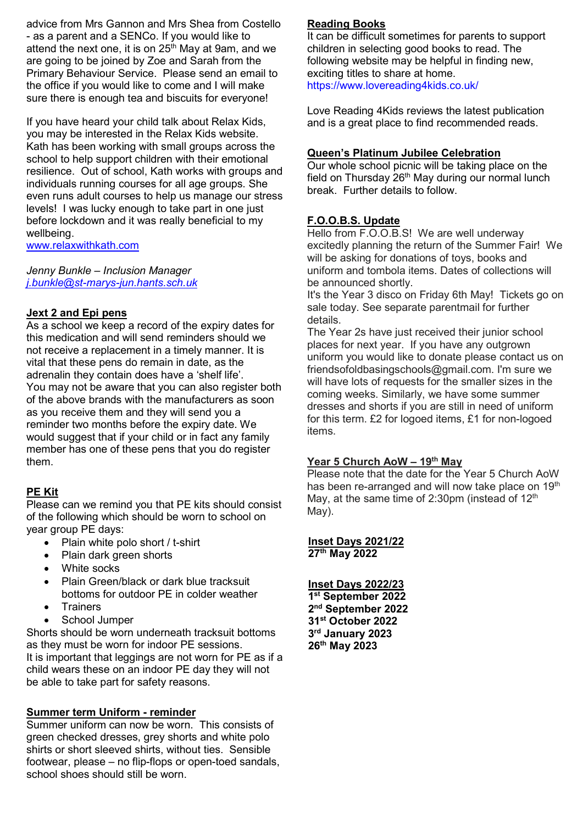advice from Mrs Gannon and Mrs Shea from Costello - as a parent and a SENCo. If you would like to attend the next one, it is on  $25<sup>th</sup>$  May at 9am, and we are going to be joined by Zoe and Sarah from the Primary Behaviour Service. Please send an email to the office if you would like to come and I will make sure there is enough tea and biscuits for everyone!

If you have heard your child talk about Relax Kids, you may be interested in the Relax Kids website. Kath has been working with small groups across the school to help support children with their emotional resilience. Out of school, Kath works with groups and individuals running courses for all age groups. She even runs adult courses to help us manage our stress levels! I was lucky enough to take part in one just before lockdown and it was really beneficial to my wellbeing.

www.relaxwithkath.com

Jenny Bunkle – Inclusion Manager j.bunkle@st-marys-jun.hants.sch.uk

#### **Jext 2 and Epi pens**

As a school we keep a record of the expiry dates for this medication and will send reminders should we not receive a replacement in a timely manner. It is vital that these pens do remain in date, as the adrenalin they contain does have a 'shelf life'. You may not be aware that you can also register both of the above brands with the manufacturers as soon as you receive them and they will send you a reminder two months before the expiry date. We would suggest that if your child or in fact any family member has one of these pens that you do register them.

#### PE Kit

Please can we remind you that PE kits should consist of the following which should be worn to school on year group PE days:

- Plain white polo short / t-shirt
- Plain dark green shorts
- White socks
- Plain Green/black or dark blue tracksuit bottoms for outdoor PE in colder weather
- **•** Trainers
- School Jumper

Shorts should be worn underneath tracksuit bottoms as they must be worn for indoor PE sessions. It is important that leggings are not worn for PE as if a child wears these on an indoor PE day they will not be able to take part for safety reasons.

#### Summer term Uniform - reminder

Summer uniform can now be worn. This consists of green checked dresses, grey shorts and white polo shirts or short sleeved shirts, without ties. Sensible footwear, please – no flip-flops or open-toed sandals, school shoes should still be worn.

## Reading Books

It can be difficult sometimes for parents to support children in selecting good books to read. The following website may be helpful in finding new, exciting titles to share at home. https://www.lovereading4kids.co.uk/

Love Reading 4Kids reviews the latest publication and is a great place to find recommended reads.

#### Queen's Platinum Jubilee Celebration

Our whole school picnic will be taking place on the field on Thursday  $26<sup>th</sup>$  May during our normal lunch break. Further details to follow.

## F.O.O.B.S. Update

Hello from F.O.O.B.S! We are well underway excitedly planning the return of the Summer Fair! We will be asking for donations of toys, books and uniform and tombola items. Dates of collections will be announced shortly.

It's the Year 3 disco on Friday 6th May! Tickets go on sale today. See separate parentmail for further details.

The Year 2s have just received their junior school places for next year. If you have any outgrown uniform you would like to donate please contact us on friendsofoldbasingschools@gmail.com. I'm sure we will have lots of requests for the smaller sizes in the coming weeks. Similarly, we have some summer dresses and shorts if you are still in need of uniform for this term. £2 for logoed items, £1 for non-logoed items.

#### Year 5 Church AoW - 19th May

Please note that the date for the Year 5 Church AoW has been re-arranged and will now take place on 19<sup>th</sup> May, at the same time of 2:30pm (instead of  $12<sup>th</sup>$ May).

Inset Days 2021/22 27th May 2022

## Inset Days 2022/23

 st September 2022 nd September 2022 st October 2022 rd January 2023 th May 2023